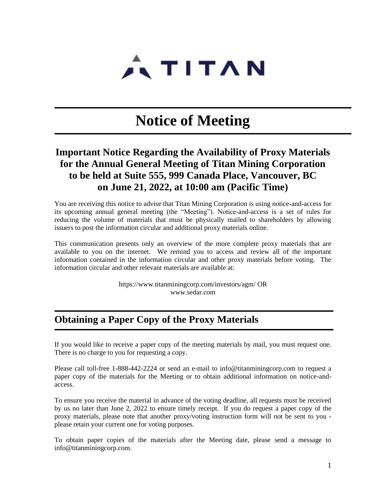

# **Notice of Meeting**

## **Important Notice Regarding the Availability of Proxy Materials for the Annual General Meeting of Titan Mining Corporation to be held at Suite 555, 999 Canada Place, Vancouver, BC on June 21, 2022, at 10:00 am (Pacific Time)**

You are receiving this notice to advise that Titan Mining Corporation is using notice-and-access for its upcoming annual general meeting (the "Meeting"). Notice-and-access is a set of rules for reducing the volume of materials that must be physically mailed to shareholders by allowing issuers to post the information circular and additional proxy materials online.

This communication presents only an overview of the more complete proxy materials that are available to you on the internet. We remind you to access and review all of the important information contained in the information circular and other proxy materials before voting. The information circular and other relevant materials are available at:

> https://www.titanminingcorp.com/investors/agm/ OR [www.sedar.com](http://www.sedar.com/)

# **Obtaining a Paper Copy of the Proxy Materials**

If you would like to receive a paper copy of the meeting materials by mail, you must request one. There is no charge to you for requesting a copy.

Please call toll-free 1-888-442-2224 or send an e-mail to info@titanminingcorp.com to request a paper copy of the materials for the Meeting or to obtain additional information on notice-andaccess.

To ensure you receive the material in advance of the voting deadline, all requests must be received by us no later than June 2, 2022 to ensure timely receipt. If you do request a paper copy of the proxy materials, please note that another proxy/voting instruction form will not be sent to you please retain your current one for voting purposes.

To obtain paper copies of the materials after the Meeting date, please send a message to info@titanminingcorp.com.